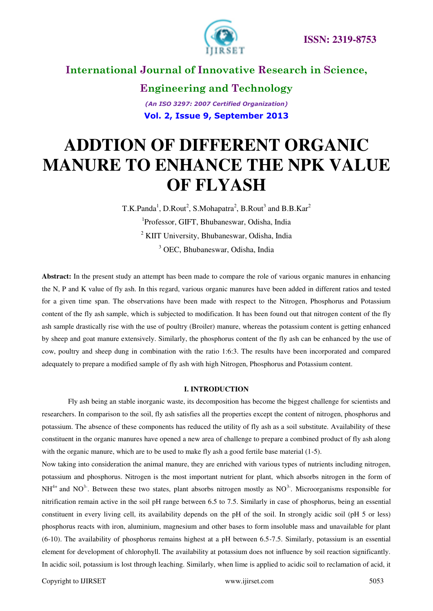

## **International Journal of Innovative Research in Science,**

**Engineering and Technology** *(An ISO 3297: 2007 Certified Organization)*  **Vol. 2, Issue 9, September 2013**

# **ADDTION OF DIFFERENT ORGANIC MANURE TO ENHANCE THE NPK VALUE OF FLYASH**

T.K.Panda<sup>1</sup>, D.Rout<sup>2</sup>, S.Mohapatra<sup>2</sup>, B.Rout<sup>3</sup> and B.B.Kar<sup>2</sup> Professor, GIFT, Bhubaneswar, Odisha, India KIIT University, Bhubaneswar, Odisha, India OEC, Bhubaneswar, Odisha, India

**Abstract:** In the present study an attempt has been made to compare the role of various organic manures in enhancing the N, P and K value of fly ash. In this regard, various organic manures have been added in different ratios and tested for a given time span. The observations have been made with respect to the Nitrogen, Phosphorus and Potassium content of the fly ash sample, which is subjected to modification. It has been found out that nitrogen content of the fly ash sample drastically rise with the use of poultry (Broiler) manure, whereas the potassium content is getting enhanced by sheep and goat manure extensively. Similarly, the phosphorus content of the fly ash can be enhanced by the use of cow, poultry and sheep dung in combination with the ratio 1:6:3. The results have been incorporated and compared adequately to prepare a modified sample of fly ash with high Nitrogen, Phosphorus and Potassium content.

#### **I. INTRODUCTION**

 Fly ash being an stable inorganic waste, its decomposition has become the biggest challenge for scientists and researchers. In comparison to the soil, fly ash satisfies all the properties except the content of nitrogen, phosphorus and potassium. The absence of these components has reduced the utility of fly ash as a soil substitute. Availability of these constituent in the organic manures have opened a new area of challenge to prepare a combined product of fly ash along with the organic manure, which are to be used to make fly ash a good fertile base material (1-5).

Now taking into consideration the animal manure, they are enriched with various types of nutrients including nitrogen, potassium and phosphorus. Nitrogen is the most important nutrient for plant, which absorbs nitrogen in the form of  $NH<sup>4+</sup>$  and NO<sup>3</sup>. Between these two states, plant absorbs nitrogen mostly as NO<sup>3</sup>. Microorganisms responsible for nitrification remain active in the soil pH range between 6.5 to 7.5. Similarly in case of phosphorus, being an essential constituent in every living cell, its availability depends on the pH of the soil. In strongly acidic soil (pH 5 or less) phosphorus reacts with iron, aluminium, magnesium and other bases to form insoluble mass and unavailable for plant (6-10). The availability of phosphorus remains highest at a pH between 6.5-7.5. Similarly, potassium is an essential element for development of chlorophyll. The availability at potassium does not influence by soil reaction significantly. In acidic soil, potassium is lost through leaching. Similarly, when lime is applied to acidic soil to reclamation of acid, it

Copyright to IJIRSET www.ijirset.com 5053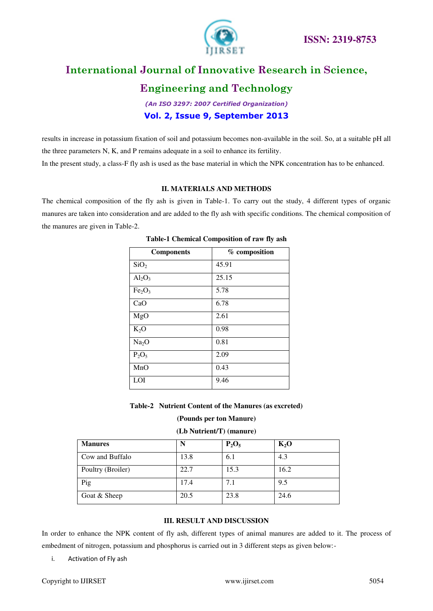

## **International Journal of Innovative Research in Science,**

# **Engineering and Technology**

*(An ISO 3297: 2007 Certified Organization)*  **Vol. 2, Issue 9, September 2013**

results in increase in potassium fixation of soil and potassium becomes non-available in the soil. So, at a suitable pH all the three parameters N, K, and P remains adequate in a soil to enhance its fertility. In the present study, a class-F fly ash is used as the base material in which the NPK concentration has to be enhanced.

### **II. MATERIALS AND METHODS**

The chemical composition of the fly ash is given in Table-1. To carry out the study, 4 different types of organic manures are taken into consideration and are added to the fly ash with specific conditions. The chemical composition of the manures are given in Table-2.

| <b>Components</b>              | % composition |  |  |
|--------------------------------|---------------|--|--|
| SiO <sub>2</sub>               | 45.91         |  |  |
| $Al_2O_3$                      | 25.15         |  |  |
| Fe <sub>2</sub> O <sub>3</sub> | 5.78          |  |  |
| CaO                            | 6.78          |  |  |
| MgO                            | 2.61          |  |  |
| $K_2O$                         | 0.98          |  |  |
| Na <sub>2</sub> O              | 0.81          |  |  |
| $P_2O_5$                       | 2.09          |  |  |
| MnO                            | 0.43          |  |  |
| LOI                            | 9.46          |  |  |

#### **Table-1 Chemical Composition of raw fly ash**

### **Table-2 Nutrient Content of the Manures (as excreted)**

#### **(Pounds per ton Manure)**

#### **(Lb Nutrient/T) (manure)**

| <b>Manures</b>    | N    | $P_2O_5$ | $K_2O$ |
|-------------------|------|----------|--------|
| Cow and Buffalo   | 13.8 | 6.1      | 4.3    |
| Poultry (Broiler) | 22.7 | 15.3     | 16.2   |
| Pig               | 17.4 | 7.1      | 9.5    |
| Goat & Sheep      | 20.5 | 23.8     | 24.6   |

### **III. RESULT AND DISCUSSION**

In order to enhance the NPK content of fly ash, different types of animal manures are added to it. The process of embedment of nitrogen, potassium and phosphorus is carried out in 3 different steps as given below:-

i. Activation of Fly ash